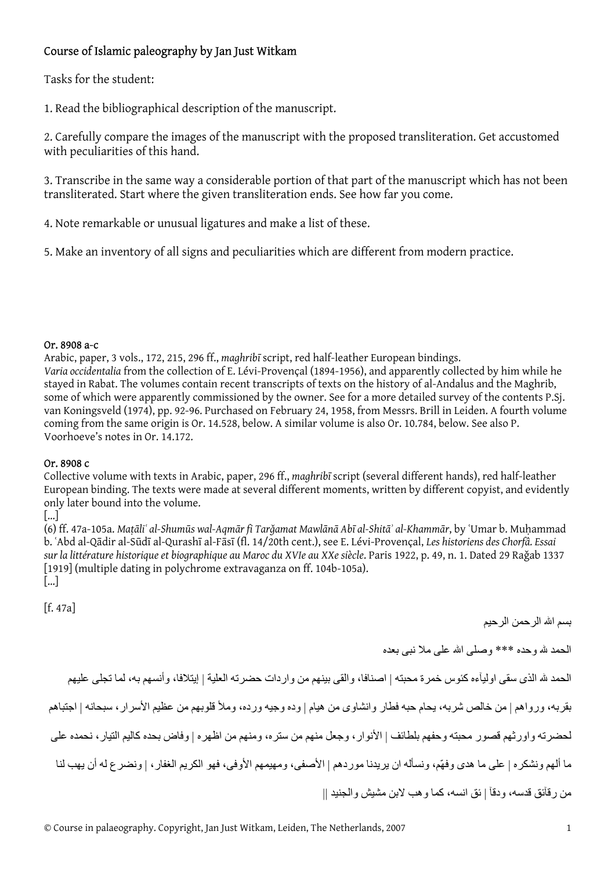## Course of Islamic paleography by Jan Just Witkam

Tasks for the student:

1. Read the bibliographical description of the manuscript.

2. Carefully compare the images of the manuscript with the proposed transliteration. Get accustomed with peculiarities of this hand.

3. Transcribe in the same way a considerable portion of that part of the manuscript which has not been transliterated. Start where the given transliteration ends. See how far you come.

4. Note remarkable or unusual ligatures and make a list of these.

5. Make an inventory of all signs and peculiarities which are different from modern practice.

## Or. 8908 a-c

Arabic, paper, 3 vols., 172, 215, 296 ff., *maghribī* script, red half-leather European bindings. *Varia occidentalia* from the collection of E. Lévi-Provençal (1894-1956), and apparently collected by him while he stayed in Rabat. The volumes contain recent transcripts of texts on the history of al-Andalus and the Maghrib, some of which were apparently commissioned by the owner. See for a more detailed survey of the contents P.Sj. van Koningsveld (1974), pp. 92-96. Purchased on February 24, 1958, from Messrs. Brill in Leiden. A fourth volume coming from the same origin is Or. 14.528, below. A similar volume is also Or. 10.784, below. See also P. Voorhoeve's notes in Or. 14.172.

## Or. 8908 c

Collective volume with texts in Arabic, paper, 296 ff., *maghribī* script (several different hands), red half-leather European binding. The texts were made at several different moments, written by different copyist, and evidently only later bound into the volume.

 $\lceil$ ... $\rceil$ 

(6) ff. 47a-105a. Matāliʿ al-Shumūs wal-Aqmār fi Tarǎamat Mawlānā Abī al-Shitāʾ al-Khammār, by ʿUmar b. Muhammad b. ʿAbd al-Qādir al-Sūdī al-Qurashī al-Fāsī (fl. 14/20th cent.), see E. Lévi-Provençal, *Les historiens des Chorfâ. Essai sur la littérature historique et biographique au Maroc du XVIe au XXe siècle*. Paris 1922, p. 49, n. 1. Dated 29 Raǧab 1337 [1919] (multiple dating in polychrome extravaganza on ff. 104b-105a). […]

[f. 47a] بسم االله الرحمن الرحيم الحمد الله وحده \*\*\* وصلى االله على ملا نبى بعده الحمد لله الذى سقى اوليآءه كئوس خمرة محبته | اصنافا، والقى بينهم من واردات حضرته العلية | إيتلافا، وأنسهم به، لما تجلى عليهم بقربه، ورواهم | من خالص شربه، يحام حبه فطار وانشاوى من هيام | وده وجيه ورده، وملأ قلوبهم من عظيم الأسرار، سبحانه | اجتباهم لحضرته واورثهم قصور محبته وحفهم بلطائف | الأنوار، وجعل منهم من ستره، ومنهم من اظهره | وفاض بحده آاليم التيار، نحمده على ما ألهم ونشكره | على ما هدى وفهّم، ونسأله ان يريدنا موردهم | الأصفى، ومهيمهم الأوفى، فهو الكريم الغفار، | ونضرع له أن يهب لنا من ر قآئق قدسه، و دقآ | ئق انسه، كما و هب لابن مشيش و الجنيد ||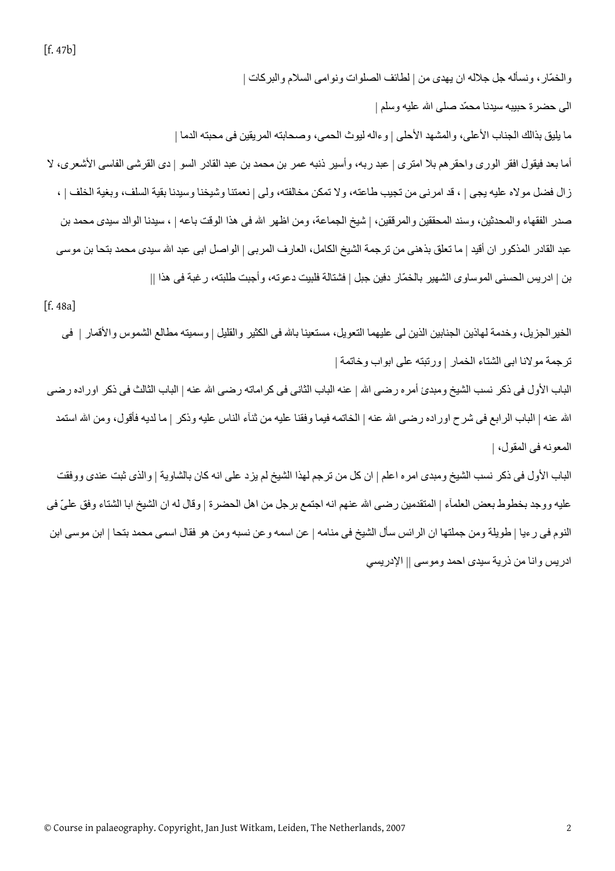الى حضرة حبيبه سيدنا محمّد صلى االله عليه وسلم | ما يليق بذالك الجناب الأعلى، والمشهد الأحلى | وءاله ليوث الحمى، وصحابته المريقين فى محبته الدما | أما بعد فيقول افقر الورى واحقرهم بلا امترى | عبد ربه، وأسير ذنبه عمر بن محمد بن عبد القادر السو | دى القرشى الفاسى الأشعرى، لا زال فضل مولاه عليه يجى | ، قد امرنى من تجيب طاعته، ولا تمكن مخالفته، ولى | نعمتنا وشيخنا وسيدنا بقية السلف، وبغية الخلف | ، صدر الفقهاء والمحدثين، وسند المحققين والمرققين، | شيخ الجماعة، ومن اظهر الله فى هذا الوقت باعه | ، سيدنا الوالد سيدى محمد بن عبد القادر المذكور ان أقيد | ما تعلق بذهنى من ترجمة الشيخ الكامل، العارف المربى | الواصل ابى عبد الله سيدى محمد بتحا بن موسى بن | ادريس الحسنى الموساوى الشهير بالخمّار دفين جبل | فشتالة فلبيت دعوته، وأجبت طلبته، رغبة فى هذا ||

والخمّار ، ونسأله جل جلاله ان يهدى من | لطائف الصلوات ونوامى السلام والبركات |

[f. 48a]

الخيرالجزيل، وخدمة لهاذين الجنابين الذين لى عليهما التعويل، مستعينا باالله فى الكثير والقليل | وسميته مطالع الشموس والأقمار | فى ترجمة مولانا ابى الشتاء الخمار | ورتبته على ابواب وخاتمة | الباب الأول فى ذكر نسب الشيخ ومبدئ أمر ه رضى الله | عنه الباب الثانى فى كر اماته رضى الله عنه | الباب الثالث فى ذكر اور اده رضى الله عنه | الباب الرابع فى شرح اوراده رضى الله عنه | الخاتمه فيما وفقنا عليه من ثنآء الناس عليه وذكر | ما لديه فأقول، ومن الله استمد المعونه فى المقول، | الباب الأول فى ذكر نسب الشيخ ومبدى امره اعلم | ان كل من ترجم لهذا الشيخ لم يزد على انه كان بالشاوية | والذى ثبت عندى ووفقت عليه ووجد بخطوط بعض العلمآء | المتقدمين رضى الله عنهم انه اجتمع برجل من اهل الحضرة | وقال له ان الشيخ ابا الشتاء وفق علىّ فى

النوم فى رءيا | طويلة ومن جملتها ان الرائس سأل الشيخ فى منامه | عن اسمه وعن نسبه ومن هو فقال اسمى محمد بتحا | ابن موسى ابن ادريس وانا من ذرية سيدى احمد وموسى || الإدريسي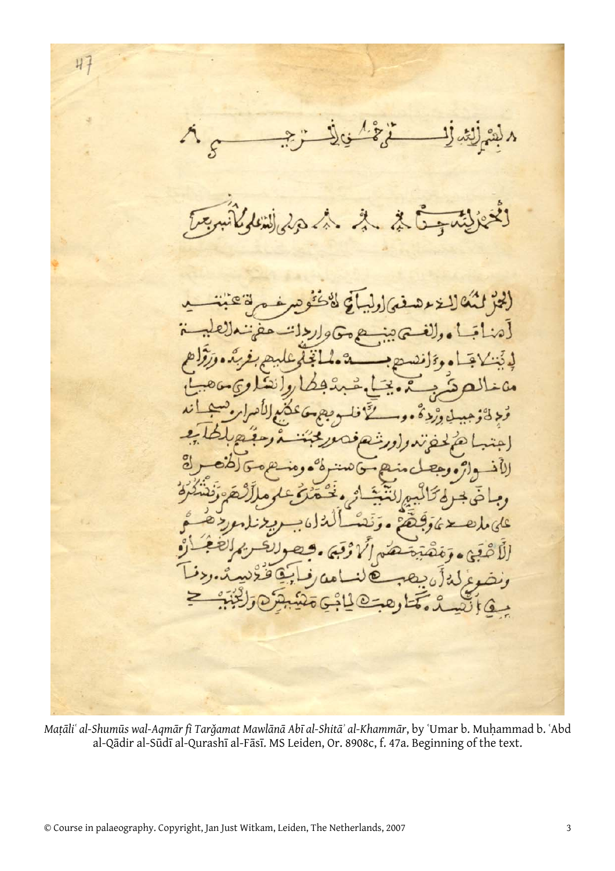$47$ ς  $\lambda$ (لجز لنك لاخره [مهٔ  $\cdot$ D  $2s$  $\overline{op}$  $\mathbf{U}$ قاقنة وغرلة أن بعصبه  $\circledcirc$ مْ وَخْتَارِ هُ فَسَائِكَ وَجَبْنَهِ  $\frac{1}{2}$ i G

Mațāli' al-Shumūs wal-Aqmār fi Tarğamat Mawlānā Abī al-Shitā' al-Khammār, by 'Umar b. Muhammad b. 'Abd al-Qādir al-Sūdī al-Qurashī al-Fāsī. MS Leiden, Or. 8908c, f. 47a. Beginning of the text.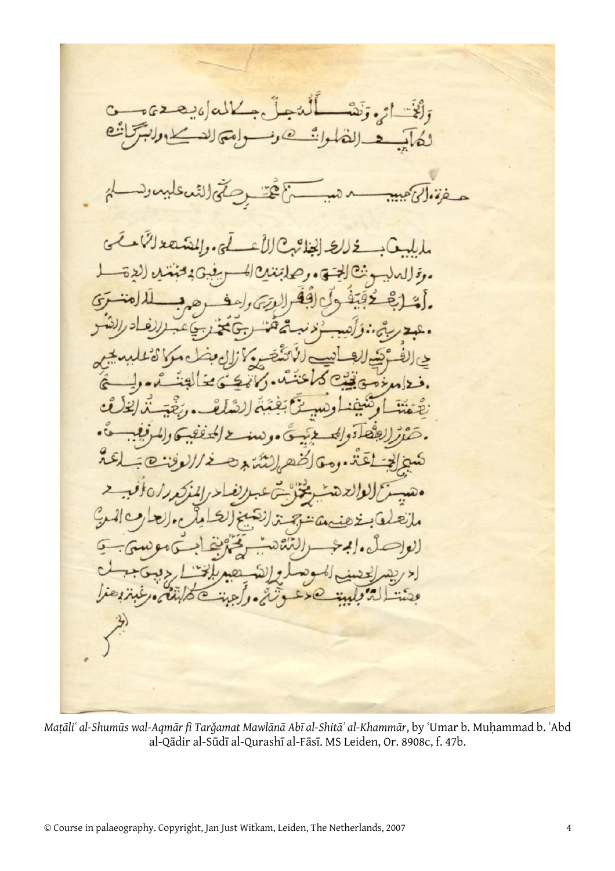$C - 062$  $\bf{a}$ لَنًا لمى وللفذ  $\left( \begin{array}{c} \begin{array}{c} \bullet \end{array} \end{array} \right)$  $\ddot{J}$  $0.9$ ئىد لایو  $\rightarrow$ ine

Mațāli' al-Shumūs wal-Aqmār fi Tarğamat Mawlānā Abī al-Shitā' al-Khammār, by 'Umar b. Muḥammad b. 'Abd al-Qādir al-Sūdī al-Qurashī al-Fāsī. MS Leiden, Or. 8908c, f. 47b.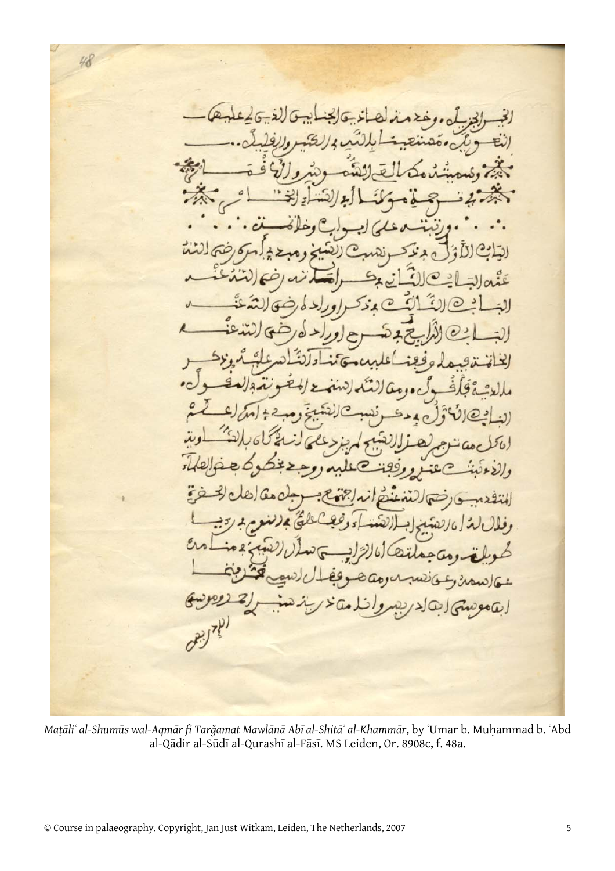3  $\circ$ 

Maṭāliʿ al-Shumūs wal-Aqmār fi Tarǧamat Mawlānā Abī al-Shitāʾ al-Khammār, by ʿUmar b. Muḥammad b. ʿAbd al-Qādir al-Sūdī al-Qurashī al-Fāsī. MS Leiden, Or. 8908c, f. 48a.

48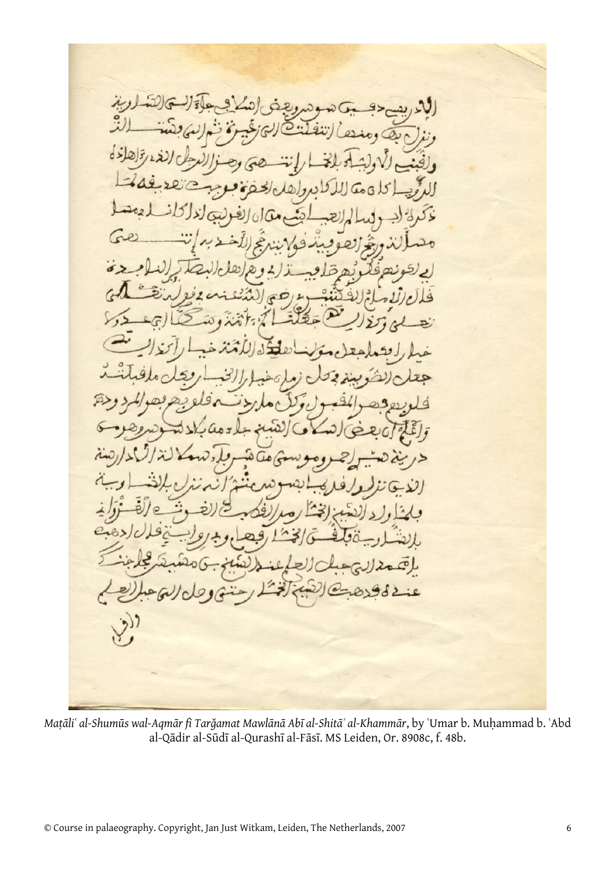Mațāli' al-Shumūs wal-Aqmār fi Tarğamat Mawlānā Abī al-Shitā' al-Khammār, by 'Umar b. Muhammad b. 'Abd al-Qādir al-Sūdī al-Qurashī al-Fāsī. MS Leiden, Or. 8908c, f. 48b.